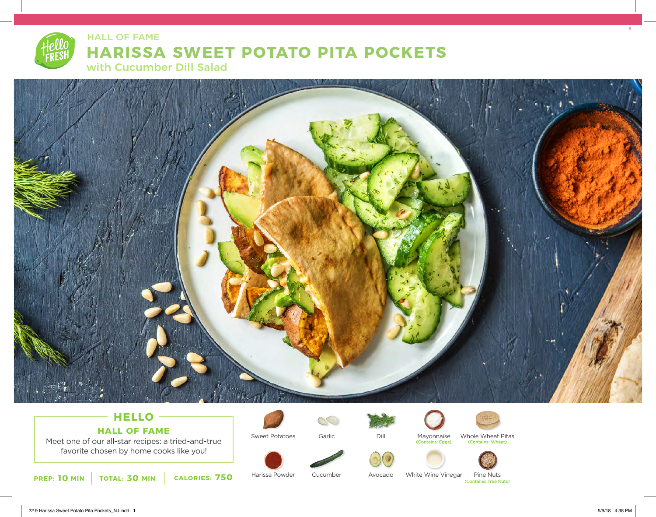# **HARISSA SWEET POTATO PITA POCKETS** with Cucumber Dill Salad HALL OF FAME



## **HELLO HALL OF FAME**

Meet one of our all-star recipes: a tried-and-true favorite chosen by home cooks like you!



Sweet Potatoes Garlic

 $\mathcal{C}$ 



Mayonnaise Whole Wheat Pi<br>
(Contains: Eggs) (Contains: Wheat) Whole Wheat Pitas<br>
(Contains: Wheat)



White Wine Vinegar Pine Nuts (Contains: Tree Nuts)

**10** MIN | TOTAL: 30 MIN | CALORIES: 750

Harissa Powder

Cucumber Avocado 9